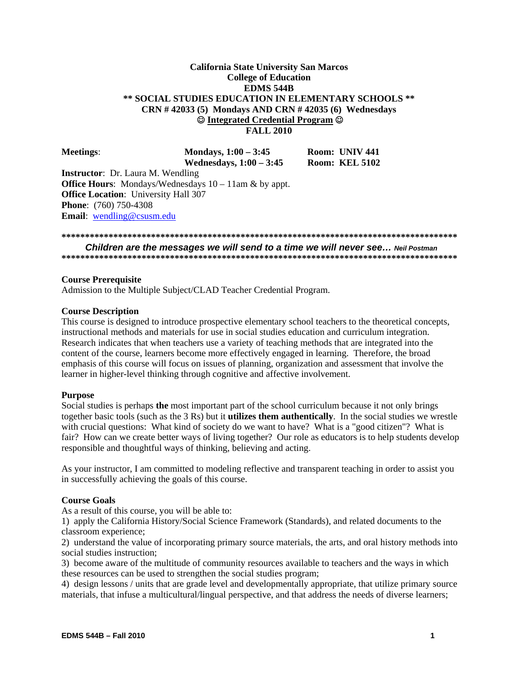### **Integrated Credential Program California State University San Marcos College of Education EDMS 544B \*\* SOCIAL STUDIES EDUCATION IN ELEMENTARY SCHOOLS \*\* CRN # 42033 (5) Mondays AND CRN # 42035 (6) Wednesdays FALL 2010**

| <b>Meetings:</b>                            | Mondays, $1:00 - 3:45$<br>Wednesdays, $1:00-3:45$               | Room: UNIV 441<br><b>Room: KEL 5102</b> |
|---------------------------------------------|-----------------------------------------------------------------|-----------------------------------------|
| <b>Instructor:</b> Dr. Laura M. Wendling    |                                                                 |                                         |
|                                             | <b>Office Hours:</b> Mondays/Wednesdays $10 - 11$ am & by appt. |                                         |
| <b>Office Location:</b> University Hall 307 |                                                                 |                                         |
| <b>Phone:</b> (760) 750-4308                |                                                                 |                                         |
| <b>Email:</b> wendling@csusm.edu            |                                                                 |                                         |

### **\*\*\*\*\*\*\*\*\*\*\*\*\*\*\*\*\*\*\*\*\*\*\*\*\*\*\*\*\*\*\*\*\*\*\*\*\*\*\*\*\*\*\*\*\*\*\*\*\*\*\*\*\*\*\*\*\*\*\*\*\*\*\*\*\*\*\*\*\*\*\*\*\*\*\*\*\*\*\*\*\*\*\*\***

*Children are the messages we will send to a time we will never see… Neil Postman*  **\*\*\*\*\*\*\*\*\*\*\*\*\*\*\*\*\*\*\*\*\*\*\*\*\*\*\*\*\*\*\*\*\*\*\*\*\*\*\*\*\*\*\*\*\*\*\*\*\*\*\*\*\*\*\*\*\*\*\*\*\*\*\*\*\*\*\*\*\*\*\*\*\*\*\*\*\*\*\*\*\*\*\*\*** 

### **Course Prerequisite**

Admission to the Multiple Subject/CLAD Teacher Credential Program.

### **Course Description**

This course is designed to introduce prospective elementary school teachers to the theoretical concepts, instructional methods and materials for use in social studies education and curriculum integration. Research indicates that when teachers use a variety of teaching methods that are integrated into the content of the course, learners become more effectively engaged in learning. Therefore, the broad emphasis of this course will focus on issues of planning, organization and assessment that involve the learner in higher-level thinking through cognitive and affective involvement.

### **Purpose**

Social studies is perhaps **the** most important part of the school curriculum because it not only brings together basic tools (such as the 3 Rs) but it **utilizes them authentically**. In the social studies we wrestle with crucial questions: What kind of society do we want to have? What is a "good citizen"? What is fair? How can we create better ways of living together? Our role as educators is to help students develop responsible and thoughtful ways of thinking, believing and acting.

As your instructor, I am committed to modeling reflective and transparent teaching in order to assist you in successfully achieving the goals of this course.

### **Course Goals**

As a result of this course, you will be able to:

1) apply the California History/Social Science Framework (Standards), and related documents to the classroom experience;

2) understand the value of incorporating primary source materials, the arts, and oral history methods into social studies instruction;

3) become aware of the multitude of community resources available to teachers and the ways in which these resources can be used to strengthen the social studies program;

4) design lessons / units that are grade level and developmentally appropriate, that utilize primary source materials, that infuse a multicultural/lingual perspective, and that address the needs of diverse learners;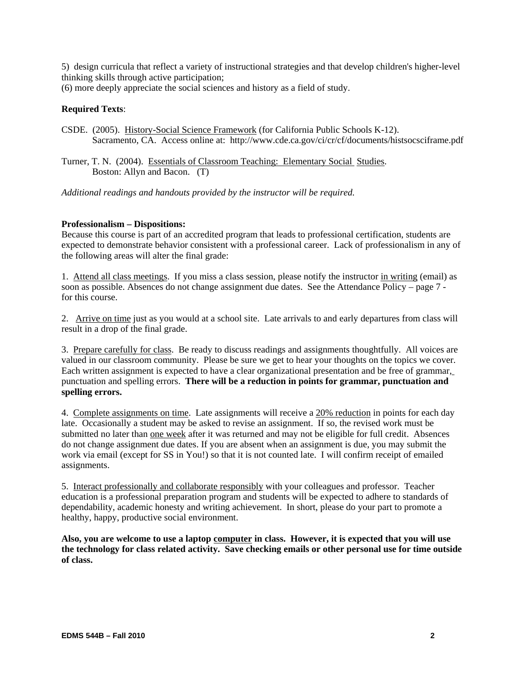5) design curricula that reflect a variety of instructional strategies and that develop children's higher-level thinking skills through active participation;

(6) more deeply appreciate the social sciences and history as a field of study.

### **Required Texts**:

CSDE. (2005). History-Social Science Framework (for California Public Schools K-12). Sacramento, CA. Access online at: http://www.cde.ca.gov/ci/cr/cf/documents/histsocsciframe.pdf

Turner, T. N. (2004). Essentials of Classroom Teaching: Elementary Social Studies. Boston: Allyn and Bacon. (T)

*Additional readings and handouts provided by the instructor will be required.* 

### **Professionalism – Dispositions:**

Because this course is part of an accredited program that leads to professional certification, students are expected to demonstrate behavior consistent with a professional career. Lack of professionalism in any of the following areas will alter the final grade:

1. Attend all class meetings. If you miss a class session, please notify the instructor in writing (email) as soon as possible. Absences do not change assignment due dates. See the Attendance Policy – page 7 for this course.

2. Arrive on time just as you would at a school site. Late arrivals to and early departures from class will result in a drop of the final grade.

3. Prepare carefully for class. Be ready to discuss readings and assignments thoughtfully. All voices are valued in our classroom community. Please be sure we get to hear your thoughts on the topics we cover. Each written assignment is expected to have a clear organizational presentation and be free of grammar, punctuation and spelling errors. **There will be a reduction in points for grammar, punctuation and spelling errors.** 

4. Complete assignments on time. Late assignments will receive a 20% reduction in points for each day late. Occasionally a student may be asked to revise an assignment. If so, the revised work must be submitted no later than one week after it was returned and may not be eligible for full credit. Absences do not change assignment due dates. If you are absent when an assignment is due, you may submit the work via email (except for SS in You!) so that it is not counted late. I will confirm receipt of emailed assignments.

5. Interact professionally and collaborate responsibly with your colleagues and professor. Teacher education is a professional preparation program and students will be expected to adhere to standards of dependability, academic honesty and writing achievement. In short, please do your part to promote a healthy, happy, productive social environment.

**Also, you are welcome to use a laptop computer in class. However, it is expected that you will use the technology for class related activity. Save checking emails or other personal use for time outside of class.**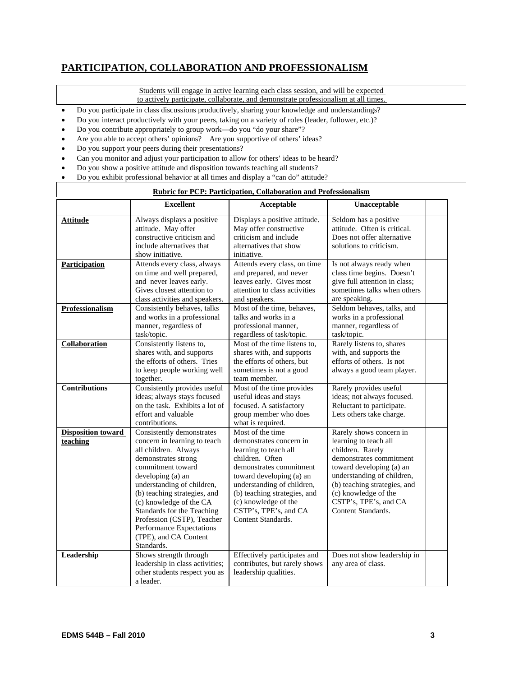# **PARTICIPATION, COLLABORATION AND PROFESSIONALISM**

Students will engage in active learning each class session, and will be expected

to actively participate, collaborate, and demonstrate professionalism at all times.

- Do you participate in class discussions productively, sharing your knowledge and understandings?
- Do you interact productively with your peers, taking on a variety of roles (leader, follower, etc.)?
- Do you contribute appropriately to group work—do you "do your share"?
- Are you able to accept others' opinions? Are you supportive of others' ideas?
- Do you support your peers during their presentations?

 $\mathsf{r}$ 

- Can you monitor and adjust your participation to allow for others' ideas to be heard?
- Do you show a positive attitude and disposition towards teaching all students?
- Do you exhibit professional behavior at all times and display a "can do" attitude?

| <b>Rubric for PCP: Participation, Collaboration and Professionalism</b> |                                                                                                                                                                                                                                                                                                                                                                            |                                                                                                                                                                                                                                                                                     |                                                                                                                                                                                                                                                                  |  |
|-------------------------------------------------------------------------|----------------------------------------------------------------------------------------------------------------------------------------------------------------------------------------------------------------------------------------------------------------------------------------------------------------------------------------------------------------------------|-------------------------------------------------------------------------------------------------------------------------------------------------------------------------------------------------------------------------------------------------------------------------------------|------------------------------------------------------------------------------------------------------------------------------------------------------------------------------------------------------------------------------------------------------------------|--|
|                                                                         | <b>Excellent</b>                                                                                                                                                                                                                                                                                                                                                           | Acceptable                                                                                                                                                                                                                                                                          | Unacceptable                                                                                                                                                                                                                                                     |  |
| Attitude                                                                | Always displays a positive<br>attitude. May offer<br>constructive criticism and<br>include alternatives that<br>show initiative.                                                                                                                                                                                                                                           | Displays a positive attitude.<br>May offer constructive<br>criticism and include<br>alternatives that show<br>initiative.                                                                                                                                                           | Seldom has a positive<br>attitude. Often is critical.<br>Does not offer alternative<br>solutions to criticism.                                                                                                                                                   |  |
| Participation                                                           | Attends every class, always<br>on time and well prepared,<br>and never leaves early.<br>Gives closest attention to<br>class activities and speakers.                                                                                                                                                                                                                       | Attends every class, on time<br>and prepared, and never<br>leaves early. Gives most<br>attention to class activities<br>and speakers.                                                                                                                                               | Is not always ready when<br>class time begins. Doesn't<br>give full attention in class;<br>sometimes talks when others<br>are speaking.                                                                                                                          |  |
| Professionalism                                                         | Consistently behaves, talks<br>and works in a professional<br>manner, regardless of<br>task/topic.                                                                                                                                                                                                                                                                         | Most of the time, behaves,<br>talks and works in a<br>professional manner,<br>regardless of task/topic.                                                                                                                                                                             | Seldom behaves, talks, and<br>works in a professional<br>manner, regardless of<br>task/topic.                                                                                                                                                                    |  |
| Collaboration                                                           | Consistently listens to,<br>shares with, and supports<br>the efforts of others. Tries<br>to keep people working well<br>together.                                                                                                                                                                                                                                          | Most of the time listens to,<br>shares with, and supports<br>the efforts of others, but<br>sometimes is not a good<br>team member.                                                                                                                                                  | Rarely listens to, shares<br>with, and supports the<br>efforts of others. Is not<br>always a good team player.                                                                                                                                                   |  |
| Contributions                                                           | Consistently provides useful<br>ideas; always stays focused<br>on the task. Exhibits a lot of<br>effort and valuable<br>contributions.                                                                                                                                                                                                                                     | Most of the time provides<br>useful ideas and stays<br>focused. A satisfactory<br>group member who does<br>what is required.                                                                                                                                                        | Rarely provides useful<br>ideas; not always focused.<br>Reluctant to participate.<br>Lets others take charge.                                                                                                                                                    |  |
| <b>Disposition toward</b><br>teaching                                   | Consistently demonstrates<br>concern in learning to teach<br>all children. Always<br>demonstrates strong<br>commitment toward<br>developing (a) an<br>understanding of children,<br>(b) teaching strategies, and<br>(c) knowledge of the CA<br>Standards for the Teaching<br>Profession (CSTP), Teacher<br>Performance Expectations<br>(TPE), and CA Content<br>Standards. | Most of the time<br>demonstrates concern in<br>learning to teach all<br>children. Often<br>demonstrates commitment<br>toward developing (a) an<br>understanding of children,<br>(b) teaching strategies, and<br>(c) knowledge of the<br>CSTP's, TPE's, and CA<br>Content Standards. | Rarely shows concern in<br>learning to teach all<br>children. Rarely<br>demonstrates commitment<br>toward developing (a) an<br>understanding of children,<br>(b) teaching strategies, and<br>(c) knowledge of the<br>CSTP's, TPE's, and CA<br>Content Standards. |  |
| <b>Leadership</b>                                                       | Shows strength through<br>leadership in class activities;<br>other students respect you as<br>a leader.                                                                                                                                                                                                                                                                    | Effectively participates and<br>contributes, but rarely shows<br>leadership qualities.                                                                                                                                                                                              | Does not show leadership in<br>any area of class.                                                                                                                                                                                                                |  |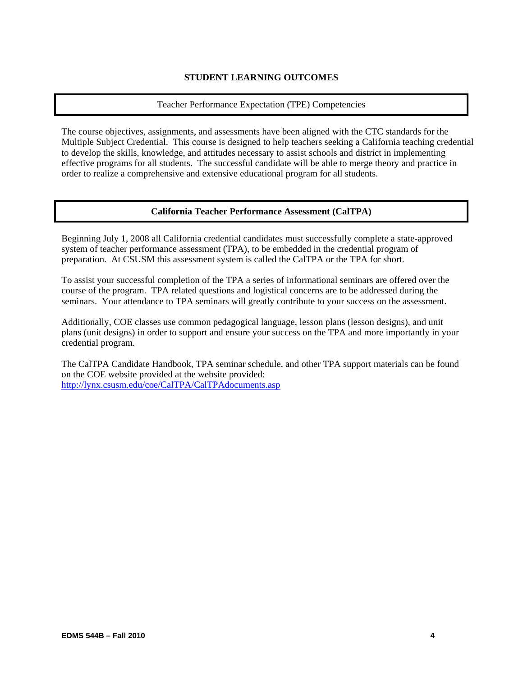### **STUDENT LEARNING OUTCOMES**

### Teacher Performance Expectation (TPE) Competencies

The course objectives, assignments, and assessments have been aligned with the CTC standards for the Multiple Subject Credential. This course is designed to help teachers seeking a California teaching credential to develop the skills, knowledge, and attitudes necessary to assist schools and district in implementing effective programs for all students. The successful candidate will be able to merge theory and practice in order to realize a comprehensive and extensive educational program for all students.

## **California Teacher Performance Assessment (CalTPA)**

Beginning July 1, 2008 all California credential candidates must successfully complete a state-approved system of teacher performance assessment (TPA), to be embedded in the credential program of preparation. At CSUSM this assessment system is called the CalTPA or the TPA for short.

To assist your successful completion of the TPA a series of informational seminars are offered over the course of the program. TPA related questions and logistical concerns are to be addressed during the seminars. Your attendance to TPA seminars will greatly contribute to your success on the assessment.

Additionally, COE classes use common pedagogical language, lesson plans (lesson designs), and unit plans (unit designs) in order to support and ensure your success on the TPA and more importantly in your credential program.

The CalTPA Candidate Handbook, TPA seminar schedule, and other TPA support materials can be found on the COE website provided at the website provided: http://lynx.csusm.edu/coe/CalTPA/CalTPAdocuments.asp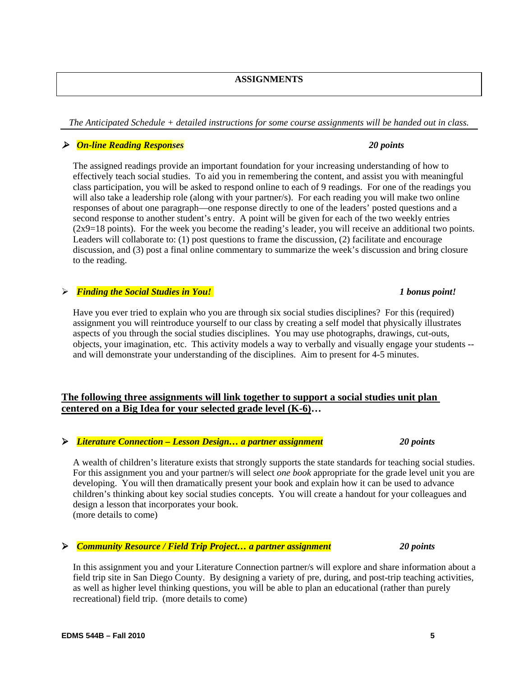*The Anticipated Schedule + detailed instructions for some course assignments will be handed out in class.* 

# *On-line Reading Responses 20 points*

The assigned readings provide an important foundation for your increasing understanding of how to effectively teach social studies. To aid you in remembering the content, and assist you with meaningful class participation, you will be asked to respond online to each of 9 readings. For one of the readings you will also take a leadership role (along with your partner/s). For each reading you will make two online responses of about one paragraph—one response directly to one of the leaders' posted questions and a second response to another student's entry. A point will be given for each of the two weekly entries (2x9=18 points). For the week you become the reading's leader, you will receive an additional two points. Leaders will collaborate to: (1) post questions to frame the discussion, (2) facilitate and encourage discussion, and (3) post a final online commentary to summarize the week's discussion and bring closure to the reading.

# *Finding the Social Studies in You!* **1** bonus point!

Have you ever tried to explain who you are through six social studies disciplines? For this (required) assignment you will reintroduce yourself to our class by creating a self model that physically illustrates aspects of you through the social studies disciplines. You may use photographs, drawings, cut-outs, objects, your imagination, etc. This activity models a way to verbally and visually engage your students - and will demonstrate your understanding of the disciplines. Aim to present for 4-5 minutes.

# **The following three assignments will link together to support a social studies unit plan centered on a Big Idea for your selected grade level (K-6)…**

# *Literature Connection – Lesson Design… a partner assignment 20 points*

A wealth of children's literature exists that strongly supports the state standards for teaching social studies. For this assignment you and your partner/s will select *one book* appropriate for the grade level unit you are developing. You will then dramatically present your book and explain how it can be used to advance children's thinking about key social studies concepts. You will create a handout for your colleagues and design a lesson that incorporates your book. (more details to come)

# *Community Resource / Field Trip Project… a partner assignment 20 points*

In this assignment you and your Literature Connection partner/s will explore and share information about a field trip site in San Diego County. By designing a variety of pre, during, and post-trip teaching activities, as well as higher level thinking questions, you will be able to plan an educational (rather than purely recreational) field trip. (more details to come)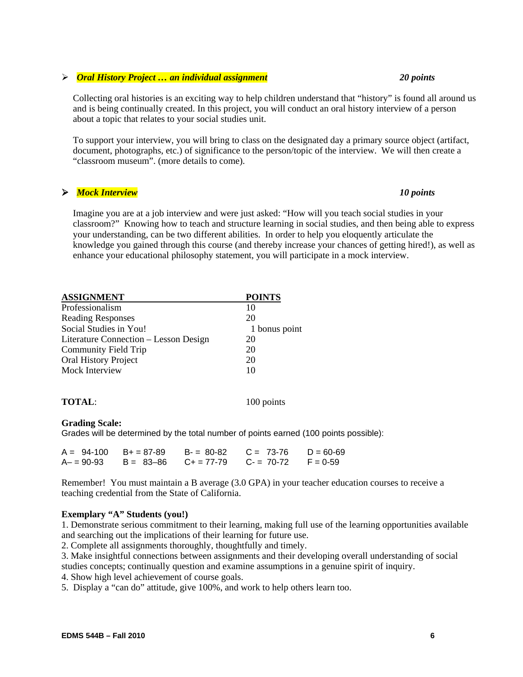### **EDMS 544B – Fall 2010 6**

### *Oral History Project … an individual assignment 20 points*

Collecting oral histories is an exciting way to help children understand that "history" is found all around us and is being continually created. In this project, you will conduct an oral history interview of a person about a topic that relates to your social studies unit.

To support your interview, you will bring to class on the designated day a primary source object (artifact, document, photographs, etc.) of significance to the person/topic of the interview. We will then create a "classroom museum". (more details to come).

### *Mock Interview 10 points*

Imagine you are at a job interview and were just asked: "How will you teach social studies in your classroom?" Knowing how to teach and structure learning in social studies, and then being able to express your understanding, can be two different abilities. In order to help you eloquently articulate the knowledge you gained through this course (and thereby increase your chances of getting hired!), as well as enhance your educational philosophy statement, you will participate in a mock interview.

| <b>ASSIGNMENT</b>                     | <b>POINTS</b> |
|---------------------------------------|---------------|
| Professionalism                       | 10            |
| <b>Reading Responses</b>              | 20            |
| Social Studies in You!                | 1 bonus point |
| Literature Connection – Lesson Design | 20            |
| Community Field Trip                  | 20            |
| <b>Oral History Project</b>           | 20            |
| Mock Interview                        | 10            |
|                                       |               |

**TOTAL:** 100 points

### **Grading Scale:**

Grades will be determined by the total number of points earned (100 points possible):

|  | $A = 94-100$ B+ = 87-89 B- = 80-82 C = 73-76 D = 60-69 |  |
|--|--------------------------------------------------------|--|
|  | $A = 90-93$ B = 83-86 C + = 77-79 C - = 70-72 F = 0-59 |  |

Remember! You must maintain a B average (3.0 GPA) in your teacher education courses to receive a teaching credential from the State of California.

### **Exemplary "A" Students (you!)**

1. Demonstrate serious commitment to their learning, making full use of the learning opportunities available and searching out the implications of their learning for future use.

2. Complete all assignments thoroughly, thoughtfully and timely.

3. Make insightful connections between assignments and their developing overall understanding of social studies concepts; continually question and examine assumptions in a genuine spirit of inquiry.

4. Show high level achievement of course goals.

5. Display a "can do" attitude, give 100%, and work to help others learn too.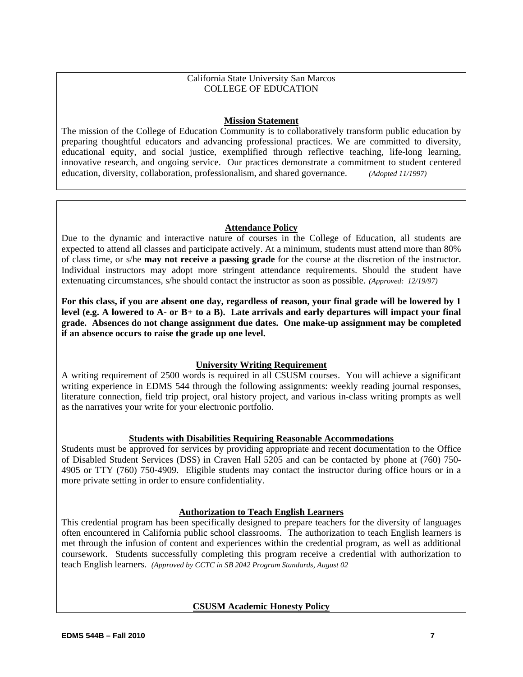### California State University San Marcos COLLEGE OF EDUCATION

### **Mission Statement**

The mission of the College of Education Community is to collaboratively transform public education by preparing thoughtful educators and advancing professional practices. We are committed to diversity, educational equity, and social justice, exemplified through reflective teaching, life-long learning, innovative research, and ongoing service. Our practices demonstrate a commitment to student centered education, diversity, collaboration, professionalism, and shared governance. *(Adopted 11/1997)* 

### **Attendance Policy**

Due to the dynamic and interactive nature of courses in the College of Education, all students are expected to attend all classes and participate actively. At a minimum, students must attend more than 80% of class time, or s/he **may not receive a passing grade** for the course at the discretion of the instructor. Individual instructors may adopt more stringent attendance requirements. Should the student have extenuating circumstances, s/he should contact the instructor as soon as possible. *(Approved: 12/19/97)* 

**For this class, if you are absent one day, regardless of reason, your final grade will be lowered by 1 level (e.g. A lowered to A- or B+ to a B). Late arrivals and early departures will impact your final grade. Absences do not change assignment due dates. One make-up assignment may be completed if an absence occurs to raise the grade up one level.** 

# **University Writing Requirement**

A writing requirement of 2500 words is required in all CSUSM courses. You will achieve a significant writing experience in EDMS 544 through the following assignments: weekly reading journal responses, literature connection, field trip project, oral history project, and various in-class writing prompts as well as the narratives your write for your electronic portfolio.

# **Students with Disabilities Requiring Reasonable Accommodations**

Students must be approved for services by providing appropriate and recent documentation to the Office of Disabled Student Services (DSS) in Craven Hall 5205 and can be contacted by phone at (760) 750- 4905 or TTY (760) 750-4909. Eligible students may contact the instructor during office hours or in a more private setting in order to ensure confidentiality.

# **Authorization to Teach English Learners**

This credential program has been specifically designed to prepare teachers for the diversity of languages often encountered in California public school classrooms. The authorization to teach English learners is met through the infusion of content and experiences within the credential program, as well as additional coursework. Students successfully completing this program receive a credential with authorization to teach English learners. *(Approved by CCTC in SB 2042 Program Standards, August 02* 

### **CSUSM Academic Honesty Policy**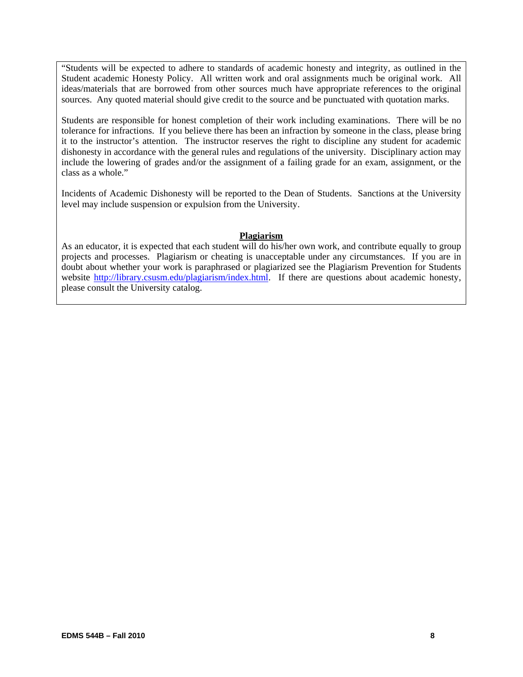"Students will be expected to adhere to standards of academic honesty and integrity, as outlined in the Student academic Honesty Policy. All written work and oral assignments much be original work. All ideas/materials that are borrowed from other sources much have appropriate references to the original sources. Any quoted material should give credit to the source and be punctuated with quotation marks.

Students are responsible for honest completion of their work including examinations. There will be no tolerance for infractions. If you believe there has been an infraction by someone in the class, please bring it to the instructor's attention. The instructor reserves the right to discipline any student for academic dishonesty in accordance with the general rules and regulations of the university. Disciplinary action may include the lowering of grades and/or the assignment of a failing grade for an exam, assignment, or the class as a whole."

Incidents of Academic Dishonesty will be reported to the Dean of Students. Sanctions at the University level may include suspension or expulsion from the University.

### **Plagiarism**

As an educator, it is expected that each student will do his/her own work, and contribute equally to group projects and processes. Plagiarism or cheating is unacceptable under any circumstances. If you are in doubt about whether your work is paraphrased or plagiarized see the Plagiarism Prevention for Students website http://library.csusm.edu/plagiarism/index.html. If there are questions about academic honesty, please consult the University catalog.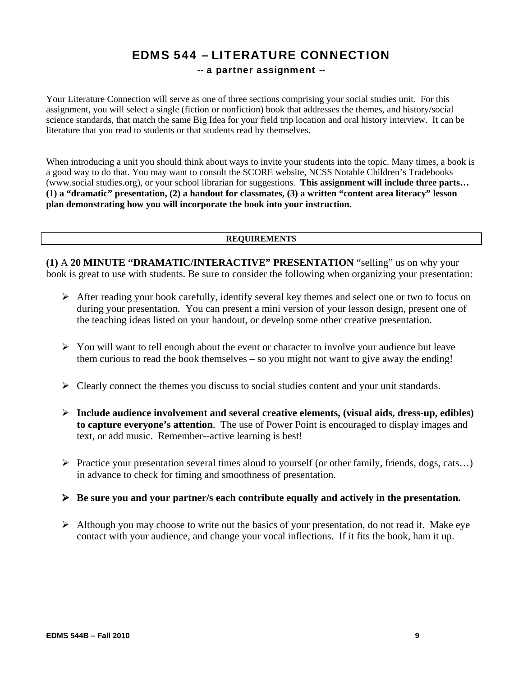# EDMS 544 – LITERATURE CONNECTION

## -- a partner assignment --

Your Literature Connection will serve as one of three sections comprising your social studies unit. For this assignment, you will select a single (fiction or nonfiction) book that addresses the themes, and history/social science standards, that match the same Big Idea for your field trip location and oral history interview. It can be literature that you read to students or that students read by themselves.

When introducing a unit you should think about ways to invite your students into the topic. Many times, a book is a good way to do that. You may want to consult the SCORE website, NCSS Notable Children's Tradebooks (www.social studies.org), or your school librarian for suggestions. **This assignment will include three parts… (1) a "dramatic" presentation, (2) a handout for classmates, (3) a written "content area literacy" lesson plan demonstrating how you will incorporate the book into your instruction.** 

### **REQUIREMENTS**

**(1)** A **20 MINUTE "DRAMATIC/INTERACTIVE" PRESENTATION** "selling" us on why your book is great to use with students. Be sure to consider the following when organizing your presentation:

- $\triangleright$  After reading your book carefully, identify several key themes and select one or two to focus on during your presentation. You can present a mini version of your lesson design, present one of the teaching ideas listed on your handout, or develop some other creative presentation.
- $\triangleright$  You will want to tell enough about the event or character to involve your audience but leave them curious to read the book themselves – so you might not want to give away the ending!
- $\triangleright$  Clearly connect the themes you discuss to social studies content and your unit standards.
- **Include audience involvement and several creative elements, (visual aids, dress-up, edibles) to capture everyone's attention**. The use of Power Point is encouraged to display images and text, or add music. Remember--active learning is best!
- Practice your presentation several times aloud to yourself (or other family, friends, dogs, cats...) in advance to check for timing and smoothness of presentation.
- **Be sure you and your partner/s each contribute equally and actively in the presentation.**
- $\triangleright$  Although you may choose to write out the basics of your presentation, do not read it. Make eye contact with your audience, and change your vocal inflections. If it fits the book, ham it up.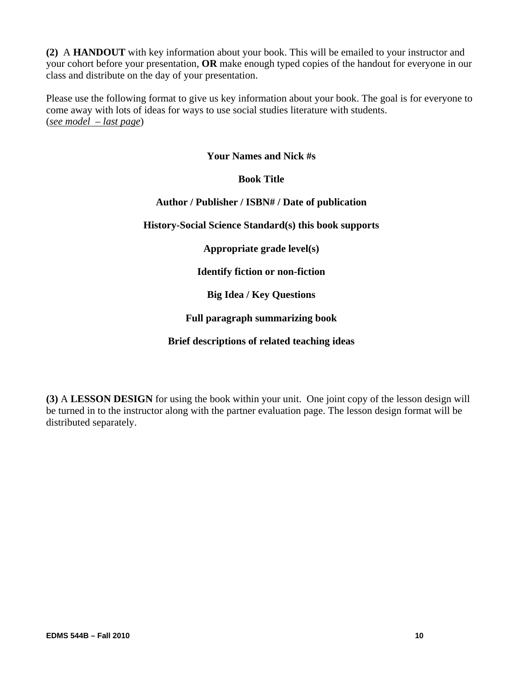**(2)** A **HANDOUT** with key information about your book. This will be emailed to your instructor and your cohort before your presentation, **OR** make enough typed copies of the handout for everyone in our class and distribute on the day of your presentation.

Please use the following format to give us key information about your book. The goal is for everyone to come away with lots of ideas for ways to use social studies literature with students. (*see model – last page*)

# **Your Names and Nick #s**

# **Book Title**

# **Author / Publisher / ISBN# / Date of publication**

**History-Social Science Standard(s) this book supports** 

**Appropriate grade level(s)** 

**Identify fiction or non-fiction** 

**Big Idea / Key Questions** 

# **Full paragraph summarizing book**

# **Brief descriptions of related teaching ideas**

**(3)** A **LESSON DESIGN** for using the book within your unit. One joint copy of the lesson design will be turned in to the instructor along with the partner evaluation page. The lesson design format will be distributed separately.